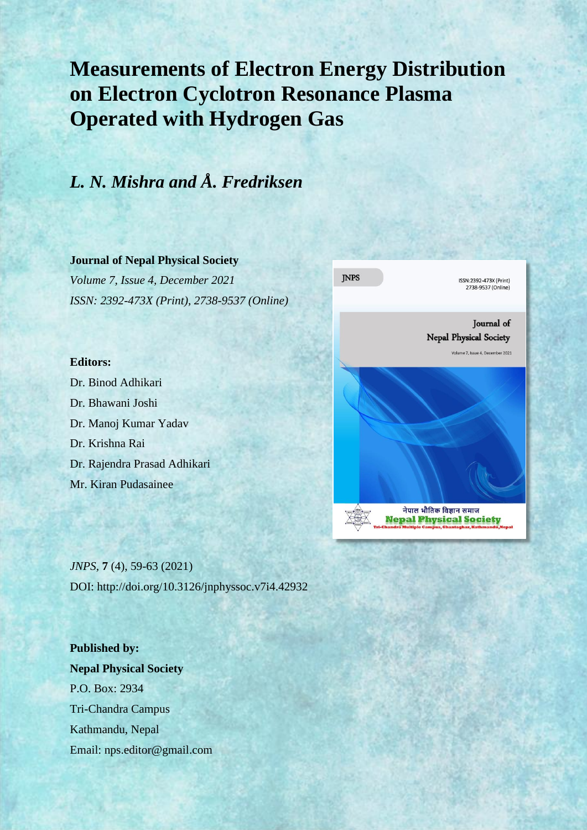# **Measurements of Electron Energy Distribution on Electron Cyclotron Resonance Plasma Operated with Hydrogen Gas**

## *L. N. Mishra and Å. Fredriksen*

#### **Journal of Nepal Physical Society**

*Volume 7, Issue 4, December 2021 ISSN: 2392-473X (Print), 2738-9537 (Online)*

#### **Editors:**

Dr. Binod Adhikari Dr. Bhawani Joshi Dr. Manoj Kumar Yadav Dr. Krishna Rai Dr. Rajendra Prasad Adhikari Mr. Kiran Pudasainee



*JNPS,* **7** (4), 59-63 (2021) DOI: http://doi.org/10.3126/jnphyssoc.v7i4.42932

**Published by: Nepal Physical Society** P.O. Box: 2934 Tri-Chandra Campus Kathmandu, Nepal Email: nps.editor@gmail.com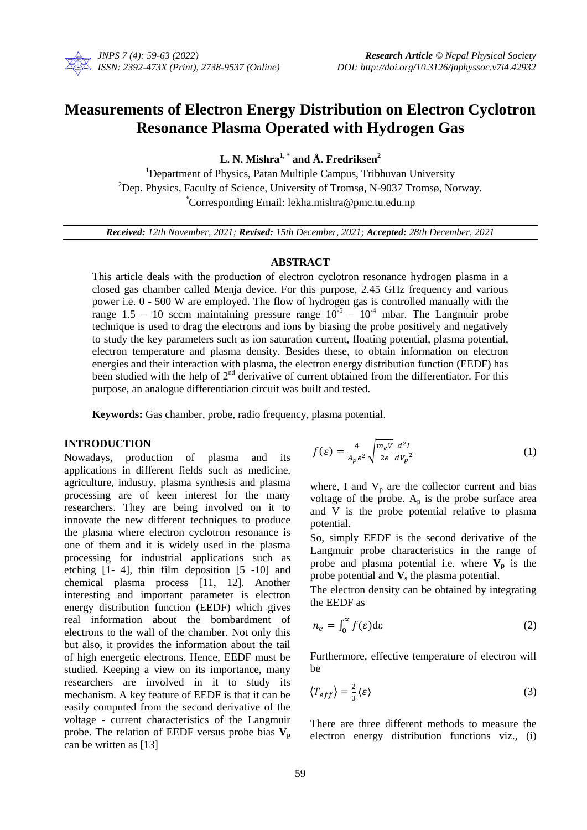

### **Measurements of Electron Energy Distribution on Electron Cyclotron Resonance Plasma Operated with Hydrogen Gas**

**L. N. Mishra1,** \* **and Å. Fredriksen<sup>2</sup>**

<sup>1</sup>Department of Physics, Patan Multiple Campus, Tribhuvan University <sup>2</sup>Dep. Physics, Faculty of Science, University of Tromsø, N-9037 Tromsø, Norway. \*Corresponding Email: lekha.mishra@pmc.tu.edu.np

*Received: 12th November, 2021; Revised: 15th December, 2021; Accepted: 28th December, 2021*

#### **ABSTRACT**

This article deals with the production of electron cyclotron resonance hydrogen plasma in a closed gas chamber called Menja device. For this purpose, 2.45 GHz frequency and various power i.e. 0 - 500 W are employed. The flow of hydrogen gas is controlled manually with the range 1.5 – 10 sccm maintaining pressure range  $10^{-5}$  –  $10^{-4}$  mbar. The Langmuir probe technique is used to drag the electrons and ions by biasing the probe positively and negatively to study the key parameters such as ion saturation current, floating potential, plasma potential, electron temperature and plasma density. Besides these, to obtain information on electron energies and their interaction with plasma, the electron energy distribution function (EEDF) has been studied with the help of  $2<sup>nd</sup>$  derivative of current obtained from the differentiator. For this purpose, an analogue differentiation circuit was built and tested.

**Keywords:** Gas chamber, probe, radio frequency, plasma potential.

#### **INTRODUCTION**

Nowadays, production of plasma and its applications in different fields such as medicine, agriculture, industry, plasma synthesis and plasma processing are of keen interest for the many researchers. They are being involved on it to innovate the new different techniques to produce the plasma where electron cyclotron resonance is one of them and it is widely used in the plasma processing for industrial applications such as etching [1- 4], thin film deposition [5 -10] and chemical plasma process [11, 12]. Another interesting and important parameter is electron energy distribution function (EEDF) which gives real information about the bombardment of electrons to the wall of the chamber. Not only this but also, it provides the information about the tail of high energetic electrons. Hence, EEDF must be studied. Keeping a view on its importance, many researchers are involved in it to study its mechanism. A key feature of EEDF is that it can be easily computed from the second derivative of the voltage - current characteristics of the Langmuir probe. The relation of EEDF versus probe bias **V<sup>p</sup>** can be written as [13]

$$
f(\varepsilon) = \frac{4}{A_p e^2} \sqrt{\frac{m_e V}{2e}} \frac{d^2 I}{dV_p^2}
$$
 (1)

where, I and  $V_p$  are the collector current and bias voltage of the probe.  $A_p$  is the probe surface area and V is the probe potential relative to plasma potential.

So, simply EEDF is the second derivative of the Langmuir probe characteristics in the range of probe and plasma potential i.e. where  $V_p$  is the probe potential and **V<sup>s</sup>** the plasma potential.

The electron density can be obtained by integrating the EEDF as

$$
n_e = \int_0^\infty f(\varepsilon) d\varepsilon \tag{2}
$$

Furthermore, effective temperature of electron will be

$$
\left\langle T_{eff}\right\rangle = \frac{2}{3}\langle \varepsilon \rangle\tag{3}
$$

There are three different methods to measure the electron energy distribution functions viz., (i)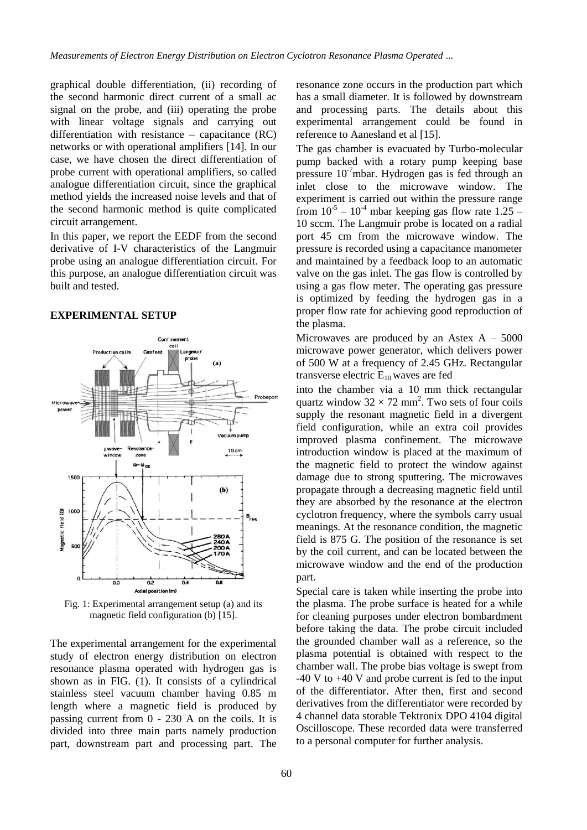graphical double differentiation, (ii) recording of the second harmonic direct current of a small ac signal on the probe, and (iii) operating the probe with linear voltage signals and carrying out differentiation with resistance – capacitance (RC) networks or with operational amplifiers [14]. In our case, we have chosen the direct differentiation of probe current with operational amplifiers, so called analogue differentiation circuit, since the graphical method yields the increased noise levels and that of the second harmonic method is quite complicated circuit arrangement.

In this paper, we report the EEDF from the second derivative of I-V characteristics of the Langmuir probe using an analogue differentiation circuit. For this purpose, an analogue differentiation circuit was built and tested.

#### **EXPERIMENTAL SETUP**



Fig. 1: Experimental arrangement setup (a) and its magnetic field configuration (b) [15].

The experimental arrangement for the experimental study of electron energy distribution on electron resonance plasma operated with hydrogen gas is shown as in FIG. (1). It consists of a cylindrical stainless steel vacuum chamber having 0.85 m length where a magnetic field is produced by passing current from 0 - 230 A on the coils. It is divided into three main parts namely production part, downstream part and processing part. The resonance zone occurs in the production part which has a small diameter. It is followed by downstream and processing parts. The details about this experimental arrangement could be found in reference to Aanesland et al [15].

The gas chamber is evacuated by Turbo-molecular pump backed with a rotary pump keeping base pressure  $10^{-7}$ mbar. Hydrogen gas is fed through an inlet close to the microwave window. The experiment is carried out within the pressure range from  $10^{-5} - 10^{-4}$  mbar keeping gas flow rate 1.25 – 10 sccm. The Langmuir probe is located on a radial port 45 cm from the microwave window. The pressure is recorded using a capacitance manometer and maintained by a feedback loop to an automatic valve on the gas inlet. The gas flow is controlled by using a gas flow meter. The operating gas pressure is optimized by feeding the hydrogen gas in a proper flow rate for achieving good reproduction of the plasma.

Microwaves are produced by an Astex  $A - 5000$ microwave power generator, which delivers power of 500 W at a frequency of 2.45 GHz. Rectangular transverse electric  $E_{10}$  waves are fed

into the chamber via a 10 mm thick rectangular quartz window  $32 \times 72$  mm<sup>2</sup>. Two sets of four coils supply the resonant magnetic field in a divergent field configuration, while an extra coil provides improved plasma confinement. The microwave introduction window is placed at the maximum of the magnetic field to protect the window against damage due to strong sputtering. The microwaves propagate through a decreasing magnetic field until they are absorbed by the resonance at the electron cyclotron frequency, where the symbols carry usual meanings. At the resonance condition, the magnetic field is 875 G. The position of the resonance is set by the coil current, and can be located between the microwave window and the end of the production part.

Special care is taken while inserting the probe into the plasma. The probe surface is heated for a while for cleaning purposes under electron bombardment before taking the data. The probe circuit included the grounded chamber wall as a reference, so the plasma potential is obtained with respect to the chamber wall. The probe bias voltage is swept from  $-40$  V to  $+40$  V and probe current is fed to the input of the differentiator. After then, first and second derivatives from the differentiator were recorded by 4 channel data storable Tektronix DPO 4104 digital Oscilloscope. These recorded data were transferred to a personal computer for further analysis.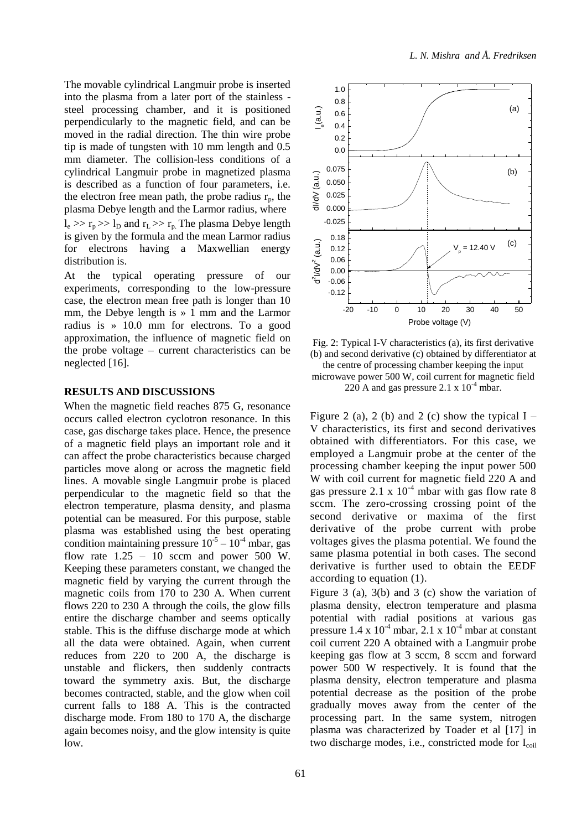The movable cylindrical Langmuir probe is inserted into the plasma from a later port of the stainless steel processing chamber, and it is positioned perpendicularly to the magnetic field, and can be moved in the radial direction. The thin wire probe tip is made of tungsten with 10 mm length and 0.5 mm diameter. The collision-less conditions of a cylindrical Langmuir probe in magnetized plasma is described as a function of four parameters, i.e. the electron free mean path, the probe radius  $r_p$ , the plasma Debye length and the Larmor radius, where  $l_e \gg r_p \gg l_D$  and  $r_L \gg r_p$ . The plasma Debye length is given by the formula and the mean Larmor radius for electrons having a Maxwellian energy distribution is.

At the typical operating pressure of our experiments, corresponding to the low-pressure case, the electron mean free path is longer than 10 mm, the Debye length is » 1 mm and the Larmor radius is » 10.0 mm for electrons. To a good approximation, the influence of magnetic field on the probe voltage – current characteristics can be neglected [16].

#### **RESULTS AND DISCUSSIONS**

When the magnetic field reaches 875 G, resonance occurs called electron cyclotron resonance. In this case, gas discharge takes place. Hence, the presence of a magnetic field plays an important role and it can affect the probe characteristics because charged particles move along or across the magnetic field lines. A movable single Langmuir probe is placed perpendicular to the magnetic field so that the electron temperature, plasma density, and plasma potential can be measured. For this purpose, stable plasma was established using the best operating condition maintaining pressure  $10^{-5} - 10^{-4}$  mbar, gas flow rate  $1.25 - 10$  sccm and power 500 W. Keeping these parameters constant, we changed the magnetic field by varying the current through the magnetic coils from 170 to 230 A. When current flows 220 to 230 A through the coils, the glow fills entire the discharge chamber and seems optically stable. This is the diffuse discharge mode at which all the data were obtained. Again, when current reduces from 220 to 200 A, the discharge is unstable and flickers, then suddenly contracts toward the symmetry axis. But, the discharge becomes contracted, stable, and the glow when coil current falls to 188 A. This is the contracted discharge mode. From 180 to 170 A, the discharge again becomes noisy, and the glow intensity is quite low.



Fig. 2: Typical I-V characteristics (a), its first derivative (b) and second derivative (c) obtained by differentiator at the centre of processing chamber keeping the input microwave power 500 W, coil current for magnetic field 220 A and gas pressure 2.1 x  $10^{-4}$  mbar.

Figure 2 (a), 2 (b) and 2 (c) show the typical  $I -$ V characteristics, its first and second derivatives obtained with differentiators. For this case, we employed a Langmuir probe at the center of the processing chamber keeping the input power 500 W with coil current for magnetic field 220 A and gas pressure 2.1 x  $10^{-4}$  mbar with gas flow rate 8 sccm. The zero-crossing crossing point of the second derivative or maxima of the first derivative of the probe current with probe voltages gives the plasma potential. We found the same plasma potential in both cases. The second derivative is further used to obtain the EEDF according to equation (1).

Figure 3 (a), 3(b) and 3 (c) show the variation of plasma density, electron temperature and plasma potential with radial positions at various gas pressure  $1.4 \times 10^{-4}$  mbar,  $2.1 \times 10^{-4}$  mbar at constant coil current 220 A obtained with a Langmuir probe keeping gas flow at 3 sccm, 8 sccm and forward power 500 W respectively. It is found that the plasma density, electron temperature and plasma potential decrease as the position of the probe gradually moves away from the center of the processing part. In the same system, nitrogen plasma was characterized by Toader et al [17] in two discharge modes, i.e., constricted mode for  $I_{coil}$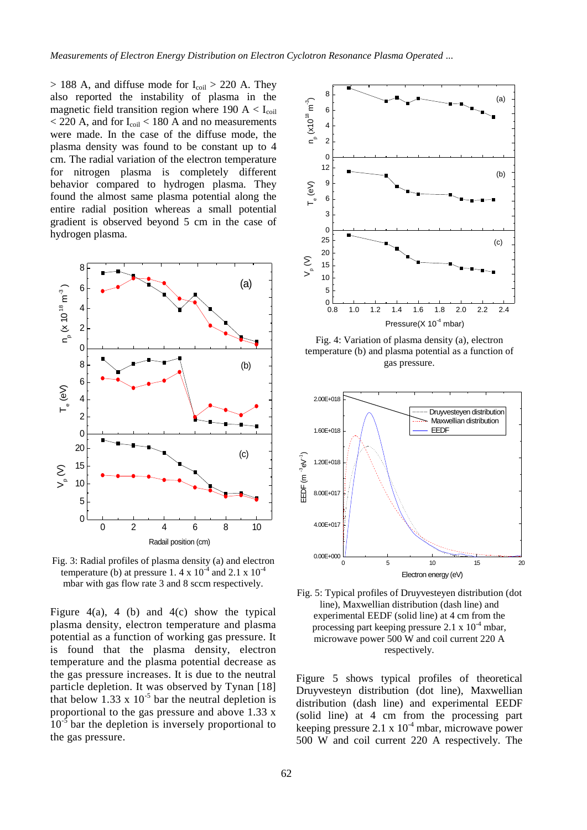$>$  188 A, and diffuse mode for  $I_{\text{coil}} > 220$  A. They also reported the instability of plasma in the magnetic field transition region where 190  $A < I_{\text{coil}}$  $<$  220 A, and for I<sub>coil</sub>  $<$  180 A and no measurements were made. In the case of the diffuse mode, the plasma density was found to be constant up to 4 cm. The radial variation of the electron temperature for nitrogen plasma is completely different behavior compared to hydrogen plasma. They found the almost same plasma potential along the entire radial position whereas a small potential gradient is observed beyond 5 cm in the case of hydrogen plasma.



Fig. 3: Radial profiles of plasma density (a) and electron temperature (b) at pressure 1.4 x  $10^{-4}$  and 2.1 x  $10^{-4}$ mbar with gas flow rate 3 and 8 sccm respectively.

Figure  $4(a)$ , 4 (b) and  $4(c)$  show the typical plasma density, electron temperature and plasma potential as a function of working gas pressure. It is found that the plasma density, electron temperature and the plasma potential decrease as the gas pressure increases. It is due to the neutral particle depletion. It was observed by Tynan [18] that below  $1.33 \times 10^{-5}$  bar the neutral depletion is proportional to the gas pressure and above 1.33 x  $10^{-5}$  bar the depletion is inversely proportional to the gas pressure.



Fig. 4: Variation of plasma density (a), electron temperature (b) and plasma potential as a function of gas pressure.



Fig. 5: Typical profiles of Druyvesteyen distribution (dot line), Maxwellian distribution (dash line) and experimental EEDF (solid line) at 4 cm from the processing part keeping pressure  $2.1 \times 10^{-4}$  mbar, microwave power 500 W and coil current 220 A respectively.

Figure 5 shows typical profiles of theoretical Druyvesteyn distribution (dot line), Maxwellian distribution (dash line) and experimental EEDF (solid line) at 4 cm from the processing part keeping pressure  $2.1 \times 10^{-4}$  mbar, microwave power 500 W and coil current 220 A respectively. The